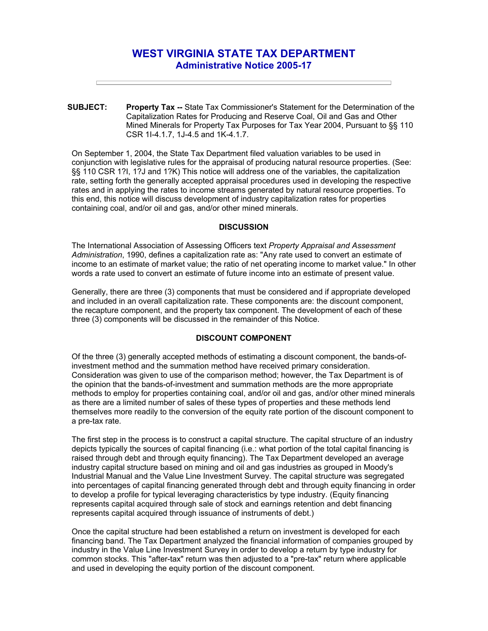# **WEST VIRGINIA STATE TAX DEPARTMENT Administrative Notice 2005-17**

**SUBJECT: Property Tax --** State Tax Commissioner's Statement for the Determination of the Capitalization Rates for Producing and Reserve Coal, Oil and Gas and Other Mined Minerals for Property Tax Purposes for Tax Year 2004, Pursuant to §§ 110 CSR 1I-4.1.7, 1J-4.5 and 1K-4.1.7.

On September 1, 2004, the State Tax Department filed valuation variables to be used in conjunction with legislative rules for the appraisal of producing natural resource properties. (See: §§ 110 CSR 1?I, 1?J and 1?K) This notice will address one of the variables, the capitalization rate, setting forth the generally accepted appraisal procedures used in developing the respective rates and in applying the rates to income streams generated by natural resource properties. To this end, this notice will discuss development of industry capitalization rates for properties containing coal, and/or oil and gas, and/or other mined minerals.

#### **DISCUSSION**

The International Association of Assessing Officers text *Property Appraisal and Assessment Administration*, 1990, defines a capitalization rate as: "Any rate used to convert an estimate of income to an estimate of market value; the ratio of net operating income to market value." In other words a rate used to convert an estimate of future income into an estimate of present value.

Generally, there are three (3) components that must be considered and if appropriate developed and included in an overall capitalization rate. These components are: the discount component, the recapture component, and the property tax component. The development of each of these three (3) components will be discussed in the remainder of this Notice.

# **DISCOUNT COMPONENT**

Of the three (3) generally accepted methods of estimating a discount component, the bands-ofinvestment method and the summation method have received primary consideration. Consideration was given to use of the comparison method; however, the Tax Department is of the opinion that the bands-of-investment and summation methods are the more appropriate methods to employ for properties containing coal, and/or oil and gas, and/or other mined minerals as there are a limited number of sales of these types of properties and these methods lend themselves more readily to the conversion of the equity rate portion of the discount component to a pre-tax rate.

The first step in the process is to construct a capital structure. The capital structure of an industry depicts typically the sources of capital financing (i.e.: what portion of the total capital financing is raised through debt and through equity financing). The Tax Department developed an average industry capital structure based on mining and oil and gas industries as grouped in Moody's Industrial Manual and the Value Line Investment Survey. The capital structure was segregated into percentages of capital financing generated through debt and through equity financing in order to develop a profile for typical leveraging characteristics by type industry. (Equity financing represents capital acquired through sale of stock and earnings retention and debt financing represents capital acquired through issuance of instruments of debt.)

Once the capital structure had been established a return on investment is developed for each financing band. The Tax Department analyzed the financial information of companies grouped by industry in the Value Line Investment Survey in order to develop a return by type industry for common stocks. This "after-tax" return was then adjusted to a "pre-tax" return where applicable and used in developing the equity portion of the discount component.